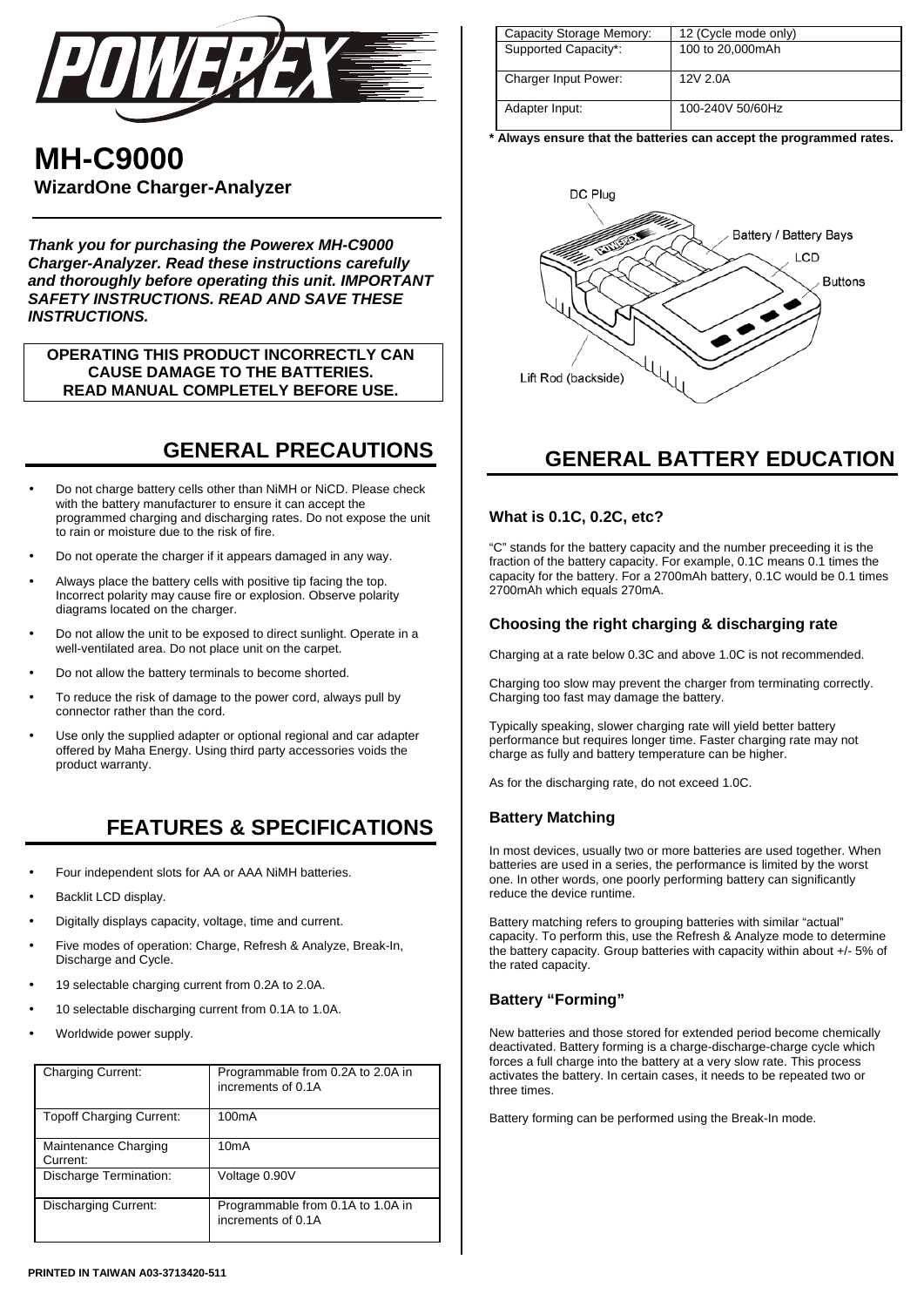

# **MH-C9000 WizardOne Charger-Analyzer**

*Thank you for purchasing the Powerex MH-C9000 Charger-Analyzer. Read these instructions carefully and thoroughly before operating this unit. IMPORTANT SAFETY INSTRUCTIONS. READ AND SAVE THESE INSTRUCTIONS.*

**OPERATING THIS PRODUCT INCORRECTLY CAN CAUSE DAMAGE TO THE BATTERIES. READ MANUAL COMPLETELY BEFORE USE.** 

# **GENERAL PRECAUTIONS**

- Do not charge battery cells other than NiMH or NiCD. Please check with the battery manufacturer to ensure it can accept the programmed charging and discharging rates. Do not expose the unit to rain or moisture due to the risk of fire.
- Do not operate the charger if it appears damaged in any way.
- Always place the battery cells with positive tip facing the top. Incorrect polarity may cause fire or explosion. Observe polarity diagrams located on the charger.
- Do not allow the unit to be exposed to direct sunlight. Operate in a well-ventilated area. Do not place unit on the carpet.
- Do not allow the battery terminals to become shorted.
- To reduce the risk of damage to the power cord, always pull by connector rather than the cord.
- Use only the supplied adapter or optional regional and car adapter offered by Maha Energy. Using third party accessories voids the product warranty.

## **FEATURES & SPECIFICATIONS**

- Four independent slots for AA or AAA NiMH batteries.
- Backlit LCD display.
- Digitally displays capacity, voltage, time and current.
- Five modes of operation: Charge, Refresh & Analyze, Break-In, Discharge and Cycle.
- 19 selectable charging current from 0.2A to 2.0A.
- 10 selectable discharging current from 0.1A to 1.0A.
- Worldwide power supply.

| <b>Charging Current:</b>         | Programmable from 0.2A to 2.0A in<br>increments of 0.1A |
|----------------------------------|---------------------------------------------------------|
| <b>Topoff Charging Current:</b>  | 100 <sub>m</sub> A                                      |
| Maintenance Charging<br>Current: | 10mA                                                    |
| Discharge Termination:           | Voltage 0.90V                                           |
| <b>Discharging Current:</b>      | Programmable from 0.1A to 1.0A in<br>increments of 0.1A |

| Capacity Storage Memory:    | 12 (Cycle mode only) |
|-----------------------------|----------------------|
| Supported Capacity*:        | 100 to 20,000mAh     |
| <b>Charger Input Power:</b> | 12V 2.0A             |
| Adapter Input:              | 100-240V 50/60Hz     |

**\* Always ensure that the batteries can accept the programmed rates.** 



## **GENERAL BATTERY EDUCATION**

### **What is 0.1C, 0.2C, etc?**

"C" stands for the battery capacity and the number preceeding it is the fraction of the battery capacity. For example, 0.1C means 0.1 times the capacity for the battery. For a 2700mAh battery, 0.1C would be 0.1 times 2700mAh which equals 270mA.

### **Choosing the right charging & discharging rate**

Charging at a rate below 0.3C and above 1.0C is not recommended.

Charging too slow may prevent the charger from terminating correctly. Charging too fast may damage the battery.

Typically speaking, slower charging rate will yield better battery performance but requires longer time. Faster charging rate may not charge as fully and battery temperature can be higher.

As for the discharging rate, do not exceed 1.0C.

### **Battery Matching**

In most devices, usually two or more batteries are used together. When batteries are used in a series, the performance is limited by the worst one. In other words, one poorly performing battery can significantly reduce the device runtime.

Battery matching refers to grouping batteries with similar "actual" capacity. To perform this, use the Refresh & Analyze mode to determine the battery capacity. Group batteries with capacity within about +/- 5% of the rated capacity.

## **Battery "Forming"**

New batteries and those stored for extended period become chemically deactivated. Battery forming is a charge-discharge-charge cycle which forces a full charge into the battery at a very slow rate. This process activates the battery. In certain cases, it needs to be repeated two or three times.

Battery forming can be performed using the Break-In mode.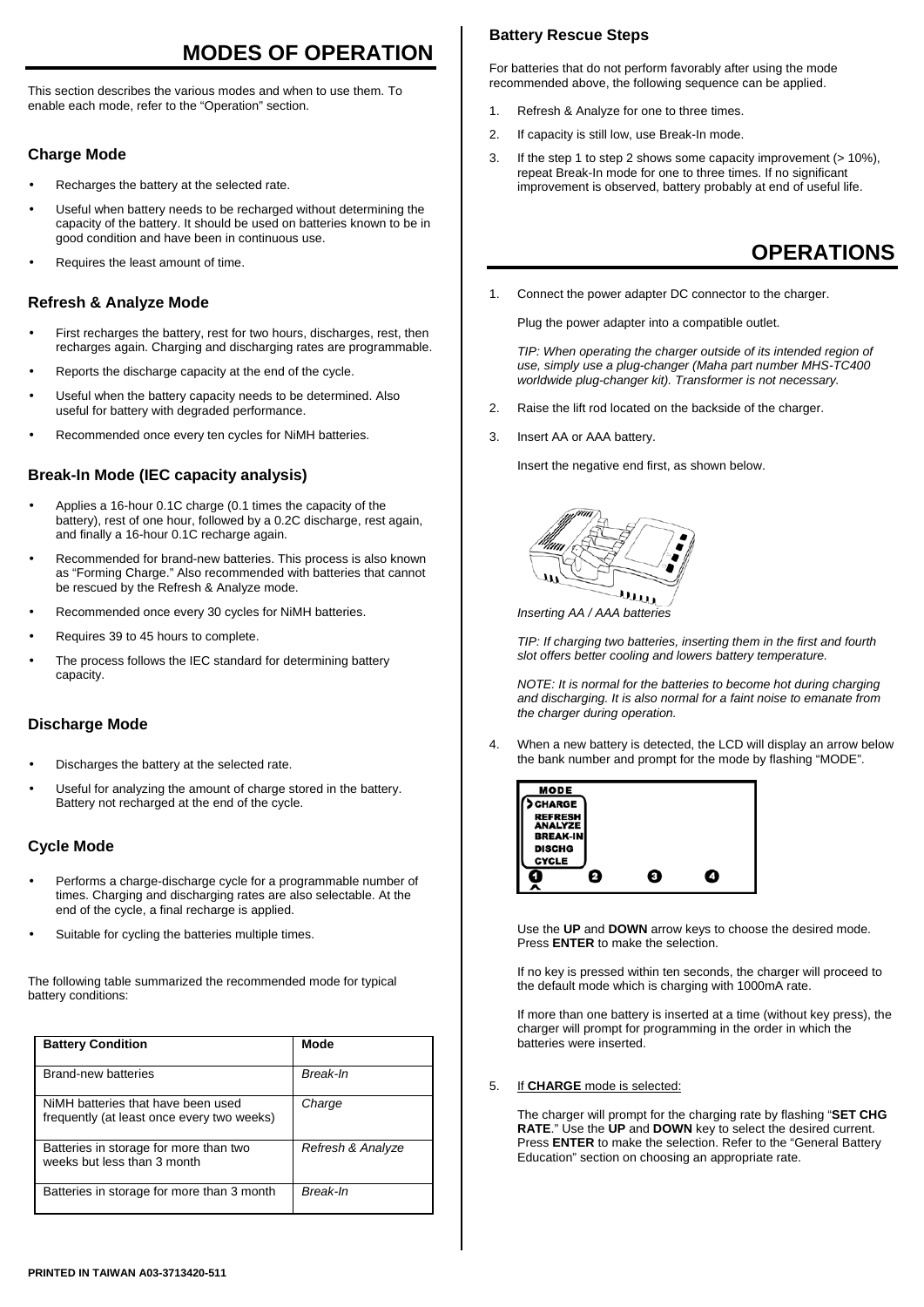# **MODES OF OPERATION**

This section describes the various modes and when to use them. To enable each mode, refer to the "Operation" section.

## **Charge Mode**

- Recharges the battery at the selected rate.
- Useful when battery needs to be recharged without determining the capacity of the battery. It should be used on batteries known to be in good condition and have been in continuous use.
- Requires the least amount of time.

## **Refresh & Analyze Mode**

- First recharges the battery, rest for two hours, discharges, rest, then recharges again. Charging and discharging rates are programmable.
- Reports the discharge capacity at the end of the cycle.
- Useful when the battery capacity needs to be determined. Also useful for battery with degraded performance.
- Recommended once every ten cycles for NiMH batteries.

## **Break-In Mode (IEC capacity analysis)**

- Applies a 16-hour 0.1C charge (0.1 times the capacity of the battery), rest of one hour, followed by a 0.2C discharge, rest again, and finally a 16-hour 0.1C recharge again.
- Recommended for brand-new batteries. This process is also known as "Forming Charge." Also recommended with batteries that cannot be rescued by the Refresh & Analyze mode.
- Recommended once every 30 cycles for NiMH batteries.
- Requires 39 to 45 hours to complete.
- The process follows the IEC standard for determining battery capacity.

## **Discharge Mode**

- Discharges the battery at the selected rate.
- Useful for analyzing the amount of charge stored in the battery. Battery not recharged at the end of the cycle.

## **Cycle Mode**

- Performs a charge-discharge cycle for a programmable number of times. Charging and discharging rates are also selectable. At the end of the cycle, a final recharge is applied.
- Suitable for cycling the batteries multiple times.

The following table summarized the recommended mode for typical battery conditions:

| <b>Battery Condition</b>                                                         | Mode              |
|----------------------------------------------------------------------------------|-------------------|
| Brand-new batteries                                                              | Break-In          |
| NiMH batteries that have been used<br>frequently (at least once every two weeks) | Charge            |
| Batteries in storage for more than two<br>weeks but less than 3 month            | Refresh & Analyze |
| Batteries in storage for more than 3 month                                       | Break-In          |

## **Battery Rescue Steps**

For batteries that do not perform favorably after using the mode recommended above, the following sequence can be applied.

- 1. Refresh & Analyze for one to three times.
- 2. If capacity is still low, use Break-In mode.
- 3. If the step 1 to step 2 shows some capacity improvement (> 10%), repeat Break-In mode for one to three times. If no significant improvement is observed, battery probably at end of useful life.

## **OPERATIONS**

1. Connect the power adapter DC connector to the charger.

Plug the power adapter into a compatible outlet.

*TIP: When operating the charger outside of its intended region of use, simply use a plug-changer (Maha part number MHS-TC400 worldwide plug-changer kit). Transformer is not necessary.*

- 2. Raise the lift rod located on the backside of the charger.
- 3. Insert AA or AAA battery.

Insert the negative end first, as shown below.



*Inserting AA / AAA batteries*

*TIP: If charging two batteries, inserting them in the first and fourth slot offers better cooling and lowers battery temperature.* 

*NOTE: It is normal for the batteries to become hot during charging and discharging. It is also normal for a faint noise to emanate from the charger during operation.* 

4. When a new battery is detected, the LCD will display an arrow below the bank number and prompt for the mode by flashing "MODE".



Use the **UP** and **DOWN** arrow keys to choose the desired mode. Press **ENTER** to make the selection.

If no key is pressed within ten seconds, the charger will proceed to the default mode which is charging with 1000mA rate.

If more than one battery is inserted at a time (without key press), the charger will prompt for programming in the order in which the batteries were inserted.

#### 5. If **CHARGE** mode is selected:

The charger will prompt for the charging rate by flashing "**SET CHG RATE**." Use the **UP** and **DOWN** key to select the desired current. Press **ENTER** to make the selection. Refer to the "General Battery Education" section on choosing an appropriate rate.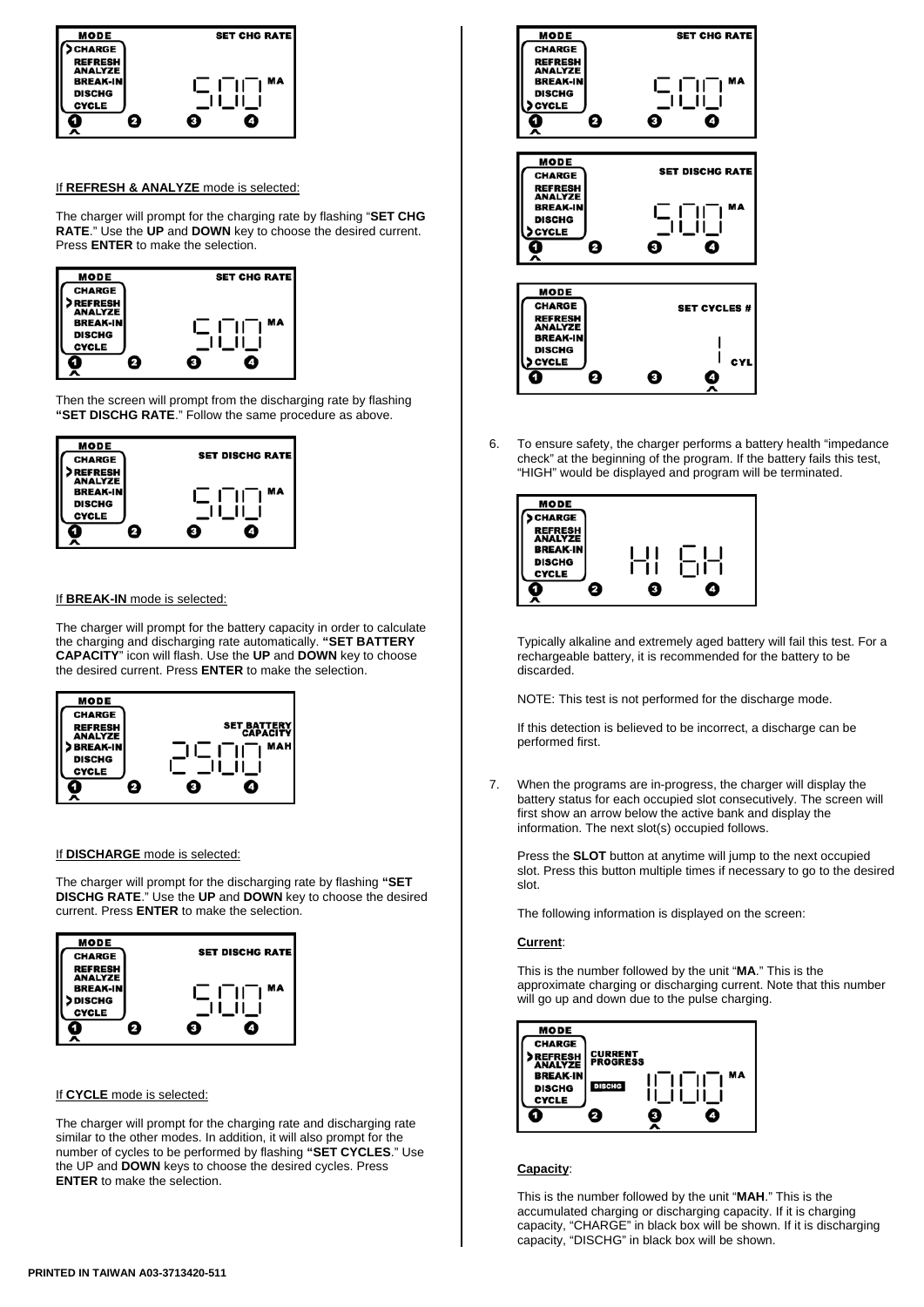

#### If **REFRESH & ANALYZE** mode is selected:

The charger will prompt for the charging rate by flashing "**SET CHG RATE**." Use the **UP** and **DOWN** key to choose the desired current. Press **ENTER** to make the selection.



Then the screen will prompt from the discharging rate by flashing **"SET DISCHG RATE**." Follow the same procedure as above.



#### If **BREAK-IN** mode is selected:

The charger will prompt for the battery capacity in order to calculate the charging and discharging rate automatically. **"SET BATTERY CAPACITY**" icon will flash. Use the **UP** and **DOWN** key to choose the desired current. Press **ENTER** to make the selection.



#### If **DISCHARGE** mode is selected:

The charger will prompt for the discharging rate by flashing **"SET DISCHG RATE**." Use the **UP** and **DOWN** key to choose the desired current. Press **ENTER** to make the selection.



#### If **CYCLE** mode is selected:

The charger will prompt for the charging rate and discharging rate similar to the other modes. In addition, it will also prompt for the number of cycles to be performed by flashing **"SET CYCLES**." Use the UP and **DOWN** keys to choose the desired cycles. Press **ENTER** to make the selection.



6. To ensure safety, the charger performs a battery health "impedance check" at the beginning of the program. If the battery fails this test, "HIGH" would be displayed and program will be terminated.



Typically alkaline and extremely aged battery will fail this test. For a rechargeable battery, it is recommended for the battery to be discarded.

NOTE: This test is not performed for the discharge mode.

If this detection is believed to be incorrect, a discharge can be performed first.

7. When the programs are in-progress, the charger will display the battery status for each occupied slot consecutively. The screen will first show an arrow below the active bank and display the information. The next slot(s) occupied follows.

Press the **SLOT** button at anytime will jump to the next occupied slot. Press this button multiple times if necessary to go to the desired slot.

The following information is displayed on the screen:

#### **Current**:

This is the number followed by the unit "**MA**." This is the approximate charging or discharging current. Note that this number will go up and down due to the pulse charging.



#### **Capacity**:

This is the number followed by the unit "**MAH**." This is the accumulated charging or discharging capacity. If it is charging capacity, "CHARGE" in black box will be shown. If it is discharging capacity, "DISCHG" in black box will be shown.